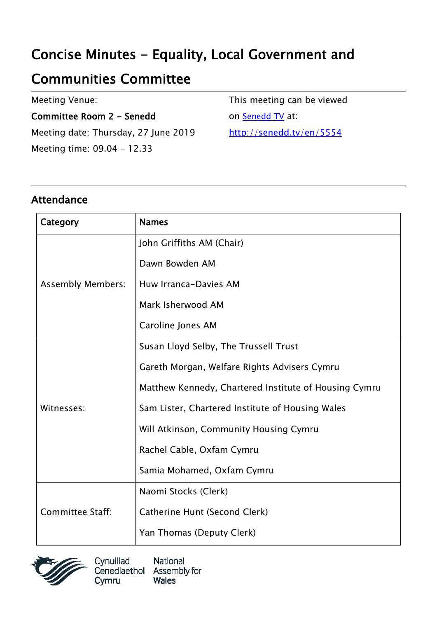# Concise Minutes - Equality, Local Government and

# Communities Committee

Meeting Venue:

Committee Room 2 - Senedd

Meeting date: Thursday, 27 June 2019 Meeting time: 09.04 - 12.33

This meeting can be viewed on [Senedd TV](http://senedd.tv/) at: http://senedd.tv/en/5554

#### Attendance

| Category                 | <b>Names</b>                                          |
|--------------------------|-------------------------------------------------------|
| <b>Assembly Members:</b> | John Griffiths AM (Chair)                             |
|                          | Dawn Bowden AM                                        |
|                          | Huw Irranca-Davies AM                                 |
|                          | Mark Isherwood AM                                     |
|                          | Caroline Jones AM                                     |
| Witnesses:               | Susan Lloyd Selby, The Trussell Trust                 |
|                          | Gareth Morgan, Welfare Rights Advisers Cymru          |
|                          | Matthew Kennedy, Chartered Institute of Housing Cymru |
|                          | Sam Lister, Chartered Institute of Housing Wales      |
|                          | Will Atkinson, Community Housing Cymru                |
|                          | Rachel Cable, Oxfam Cymru                             |
|                          | Samia Mohamed, Oxfam Cymru                            |
| Committee Staff:         | Naomi Stocks (Clerk)                                  |
|                          | Catherine Hunt (Second Clerk)                         |
|                          | Yan Thomas (Deputy Clerk)                             |



Cynulliad National Cenedlaethol Assembly for **Wales** Cymru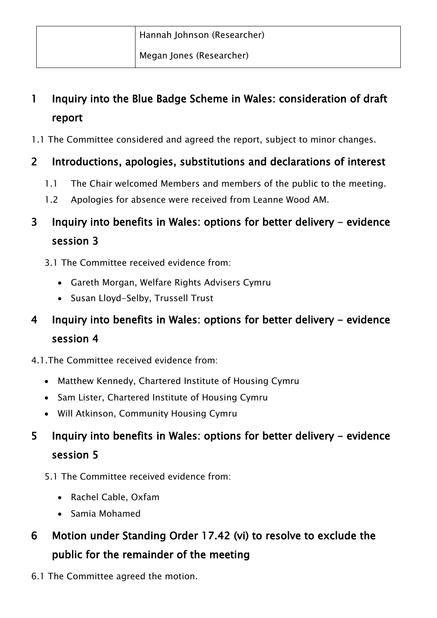Megan Jones (Researcher)

### 1 Inquiry into the Blue Badge Scheme in Wales: consideration of draft report

1.1 The Committee considered and agreed the report, subject to minor changes.

#### 2 Introductions, apologies, substitutions and declarations of interest

- 1.1 The Chair welcomed Members and members of the public to the meeting.
- 1.2 Apologies for absence were received from Leanne Wood AM.

### 3 Inquiry into benefits in Wales: options for better delivery - evidence session 3

- 3.1 The Committee received evidence from:
	- Gareth Morgan, Welfare Rights Advisers Cymru
	- Susan Lloyd-Selby, Trussell Trust

### 4 Inquiry into benefits in Wales: options for better delivery - evidence session 4

- 4.1.The Committee received evidence from:
	- Matthew Kennedy, Chartered Institute of Housing Cymru
	- Sam Lister, Chartered Institute of Housing Cymru
	- Will Atkinson, Community Housing Cymru

### 5 Inquiry into benefits in Wales: options for better delivery - evidence session 5

- 5.1 The Committee received evidence from:
	- Rachel Cable, Oxfam
	- Samia Mohamed
- 6 Motion under Standing Order 17.42 (vi) to resolve to exclude the public for the remainder of the meeting
- 6.1 The Committee agreed the motion.